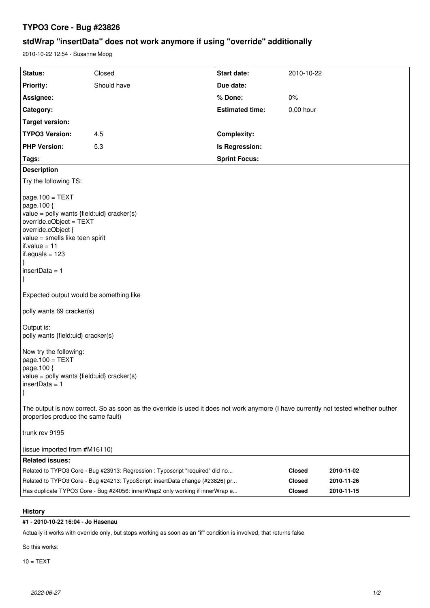## **TYPO3 Core - Bug #23826**

# **stdWrap "insertData" does not work anymore if using "override" additionally**

2010-10-22 12:54 - Susanne Moog

| Status:                                                                                                                                                                                                                       | Closed                                                                        | Start date:            | 2010-10-22    |            |
|-------------------------------------------------------------------------------------------------------------------------------------------------------------------------------------------------------------------------------|-------------------------------------------------------------------------------|------------------------|---------------|------------|
| <b>Priority:</b>                                                                                                                                                                                                              | Should have                                                                   | Due date:              |               |            |
| Assignee:                                                                                                                                                                                                                     |                                                                               | % Done:                | $0\%$         |            |
| Category:                                                                                                                                                                                                                     |                                                                               | <b>Estimated time:</b> | 0.00 hour     |            |
| <b>Target version:</b>                                                                                                                                                                                                        |                                                                               |                        |               |            |
| <b>TYPO3 Version:</b>                                                                                                                                                                                                         | 4.5                                                                           | <b>Complexity:</b>     |               |            |
| <b>PHP Version:</b>                                                                                                                                                                                                           | 5.3                                                                           | Is Regression:         |               |            |
| Tags:                                                                                                                                                                                                                         |                                                                               | <b>Sprint Focus:</b>   |               |            |
| <b>Description</b>                                                                                                                                                                                                            |                                                                               |                        |               |            |
| Try the following TS:                                                                                                                                                                                                         |                                                                               |                        |               |            |
| $page.100 = TEXT$<br>page.100 {<br>value = polly wants {field:uid} cracker(s)<br>override.cObject = TEXT<br>override.cObject {<br>value = smells like teen spirit<br>if.value = 11<br>if.equals = 123<br> }<br>insertData = 1 |                                                                               |                        |               |            |
| $\vert$                                                                                                                                                                                                                       |                                                                               |                        |               |            |
| Expected output would be something like                                                                                                                                                                                       |                                                                               |                        |               |            |
| polly wants 69 cracker(s)                                                                                                                                                                                                     |                                                                               |                        |               |            |
| Output is:<br>polly wants {field:uid} cracker(s)                                                                                                                                                                              |                                                                               |                        |               |            |
| Now try the following:<br>$page.100 = TEXT$<br>page.100 {<br>value = polly wants {field:uid} cracker(s)<br>  insertData = 1<br> }                                                                                             |                                                                               |                        |               |            |
| The output is now correct. So as soon as the override is used it does not work anymore (I have currently not tested whether outher<br>properties produce the same fault)                                                      |                                                                               |                        |               |            |
| trunk rev 9195                                                                                                                                                                                                                |                                                                               |                        |               |            |
| (issue imported from #M16110)                                                                                                                                                                                                 |                                                                               |                        |               |            |
| <b>Related issues:</b>                                                                                                                                                                                                        |                                                                               |                        |               |            |
|                                                                                                                                                                                                                               | Related to TYPO3 Core - Bug #23913: Regression : Typoscript "required" did no |                        | <b>Closed</b> | 2010-11-02 |
| Related to TYPO3 Core - Bug #24213: TypoScript: insertData change (#23826) pr<br><b>Closed</b>                                                                                                                                |                                                                               |                        |               | 2010-11-26 |
| Has duplicate TYPO3 Core - Bug #24056: innerWrap2 only working if innerWrap e<br><b>Closed</b><br>2010-11-15                                                                                                                  |                                                                               |                        |               |            |

### **History**

### **#1 - 2010-10-22 16:04 - Jo Hasenau**

Actually it works with override only, but stops working as soon as an "if" condition is involved, that returns false

So this works:

 $10 = TEXT$